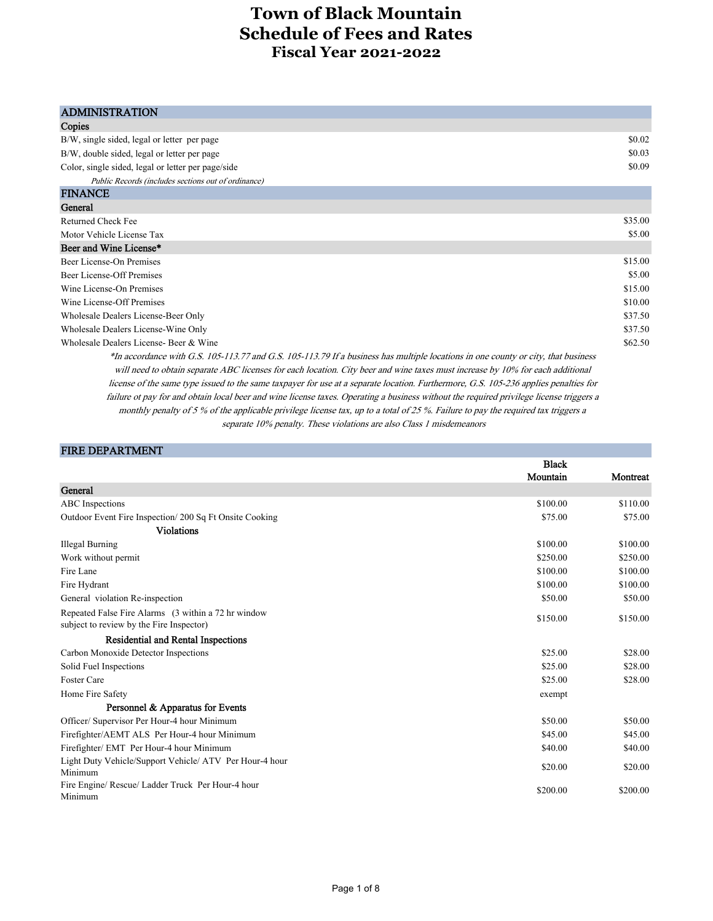| <b>ADMINISTRATION</b>                                                                                                                   |         |
|-----------------------------------------------------------------------------------------------------------------------------------------|---------|
| Copies                                                                                                                                  |         |
| B/W, single sided, legal or letter per page                                                                                             | \$0.02  |
| B/W, double sided, legal or letter per page                                                                                             | \$0.03  |
| Color, single sided, legal or letter per page/side                                                                                      | \$0.09  |
| Public Records (includes sections out of ordinance)                                                                                     |         |
| <b>FINANCE</b>                                                                                                                          |         |
| General                                                                                                                                 |         |
| Returned Check Fee                                                                                                                      | \$35.00 |
| Motor Vehicle License Tax                                                                                                               | \$5.00  |
| Beer and Wine License*                                                                                                                  |         |
| Beer License-On Premises                                                                                                                | \$15.00 |
| Beer License-Off Premises                                                                                                               | \$5.00  |
| Wine License-On Premises                                                                                                                | \$15.00 |
| Wine License-Off Premises                                                                                                               | \$10.00 |
| Wholesale Dealers License-Beer Only                                                                                                     | \$37.50 |
| Wholesale Dealers License-Wine Only                                                                                                     | \$37.50 |
| Wholesale Dealers License- Beer & Wine                                                                                                  | \$62.50 |
| *In accordance with G.S. 105-113.77 and G.S. 105-113.79 If a business has multiple locations in one county or city, that business       |         |
| will need to obtain separate ABC licenses for each location. City beer and wine taxes must increase by 10% for each additional          |         |
| license of the same type issued to the same taxpayer for use at a separate location. Furthermore, G.S. 105-236 applies penalties for    |         |
| failure ot pay for and obtain local beer and wine license taxes. Operating a business without the required privilege license triggers a |         |
| monthly penalty of 5 % of the applicable privilege license tax, up to a total of 25 %. Failure to pay the required tax triggers a       |         |

separate 10% penalty. These violations are also Class 1 misdemeanors

| <b>FIRE DEPARTMENT</b> |
|------------------------|
|------------------------|

|                                                                                                 | <b>Black</b> |          |
|-------------------------------------------------------------------------------------------------|--------------|----------|
|                                                                                                 | Mountain     | Montreat |
| General                                                                                         |              |          |
| ABC Inspections                                                                                 | \$100.00     | \$110.00 |
| Outdoor Event Fire Inspection/200 Sq Ft Onsite Cooking                                          | \$75.00      | \$75.00  |
| <b>Violations</b>                                                                               |              |          |
| Illegal Burning                                                                                 | \$100.00     | \$100.00 |
| Work without permit                                                                             | \$250.00     | \$250.00 |
| Fire Lane                                                                                       | \$100.00     | \$100.00 |
| Fire Hydrant                                                                                    | \$100.00     | \$100.00 |
| General violation Re-inspection                                                                 | \$50.00      | \$50.00  |
| Repeated False Fire Alarms (3 within a 72 hr window<br>subject to review by the Fire Inspector) | \$150.00     | \$150.00 |
| <b>Residential and Rental Inspections</b>                                                       |              |          |
| Carbon Monoxide Detector Inspections                                                            | \$25.00      | \$28.00  |
| Solid Fuel Inspections                                                                          | \$25.00      | \$28.00  |
| <b>Foster Care</b>                                                                              | \$25.00      | \$28.00  |
| Home Fire Safety                                                                                | exempt       |          |
| Personnel & Apparatus for Events                                                                |              |          |
| Officer/ Supervisor Per Hour-4 hour Minimum                                                     | \$50.00      | \$50.00  |
| Firefighter/AEMT ALS Per Hour-4 hour Minimum                                                    | \$45.00      | \$45.00  |
| Firefighter/ EMT Per Hour-4 hour Minimum                                                        | \$40.00      | \$40.00  |
| Light Duty Vehicle/Support Vehicle/ ATV Per Hour-4 hour<br>Minimum                              | \$20.00      | \$20.00  |
| Fire Engine/ Rescue/ Ladder Truck Per Hour-4 hour<br>Minimum                                    | \$200.00     | \$200.00 |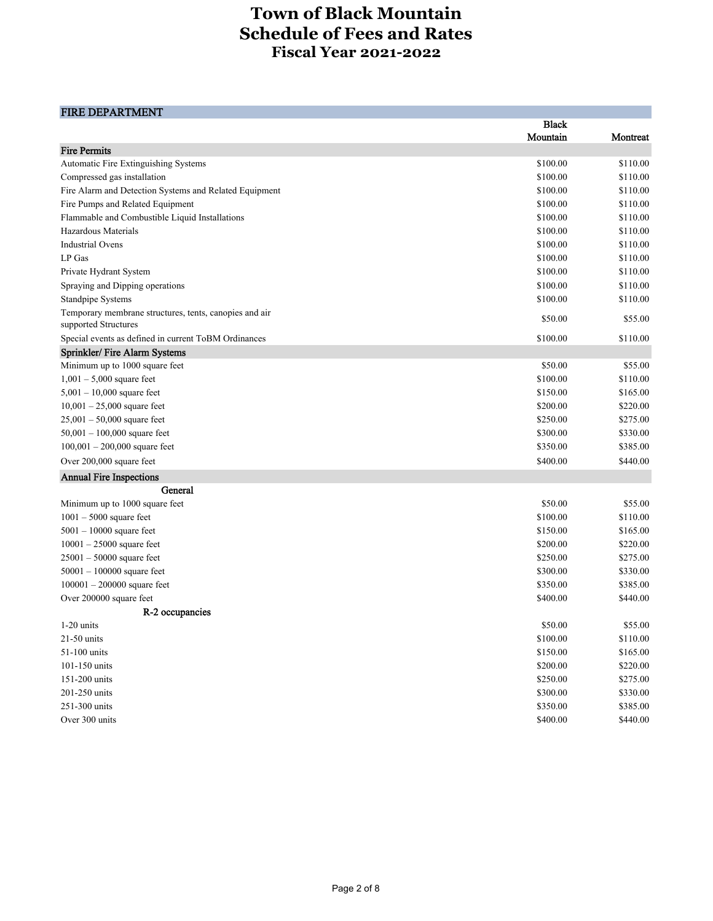and the control of the control of the control of the

### FIRE DEPARTMENT

|                                                                                | <b>Black</b> |          |
|--------------------------------------------------------------------------------|--------------|----------|
|                                                                                | Mountain     | Montreat |
| <b>Fire Permits</b>                                                            |              |          |
| Automatic Fire Extinguishing Systems                                           | \$100.00     | \$110.00 |
| Compressed gas installation                                                    | \$100.00     | \$110.00 |
| Fire Alarm and Detection Systems and Related Equipment                         | \$100.00     | \$110.00 |
| Fire Pumps and Related Equipment                                               | \$100.00     | \$110.00 |
| Flammable and Combustible Liquid Installations                                 | \$100.00     | \$110.00 |
| Hazardous Materials                                                            | \$100.00     | \$110.00 |
| <b>Industrial Ovens</b>                                                        | \$100.00     | \$110.00 |
| LP Gas                                                                         | \$100.00     | \$110.00 |
| Private Hydrant System                                                         | \$100.00     | \$110.00 |
| Spraying and Dipping operations                                                | \$100.00     | \$110.00 |
| <b>Standpipe Systems</b>                                                       | \$100.00     | \$110.00 |
| Temporary membrane structures, tents, canopies and air<br>supported Structures | \$50.00      | \$55.00  |
| Special events as defined in current ToBM Ordinances                           | \$100.00     | \$110.00 |
| Sprinkler/ Fire Alarm Systems                                                  |              |          |
| Minimum up to 1000 square feet                                                 | \$50.00      | \$55.00  |
| $1,001 - 5,000$ square feet                                                    | \$100.00     | \$110.00 |
| $5,001 - 10,000$ square feet                                                   | \$150.00     | \$165.00 |
| $10,001 - 25,000$ square feet                                                  | \$200.00     | \$220.00 |
| $25,001 - 50,000$ square feet                                                  | \$250.00     | \$275.00 |
| $50,001 - 100,000$ square feet                                                 | \$300.00     | \$330.00 |
| $100,001 - 200,000$ square feet                                                | \$350.00     | \$385.00 |
| Over 200,000 square feet                                                       | \$400.00     | \$440.00 |
| <b>Annual Fire Inspections</b>                                                 |              |          |
| General                                                                        |              |          |
| Minimum up to 1000 square feet                                                 | \$50.00      | \$55.00  |
| $1001 - 5000$ square feet                                                      | \$100.00     | \$110.00 |
| $5001 - 10000$ square feet                                                     | \$150.00     | \$165.00 |
| $10001 - 25000$ square feet                                                    | \$200.00     | \$220.00 |
| $25001 - 50000$ square feet                                                    | \$250.00     | \$275.00 |
| $50001 - 100000$ square feet                                                   | \$300.00     | \$330.00 |
| $100001 - 200000$ square feet                                                  | \$350.00     | \$385.00 |
| Over 200000 square feet                                                        | \$400.00     | \$440.00 |
| R-2 occupancies                                                                |              |          |
| $1-20$ units                                                                   | \$50.00      | \$55.00  |
| 21-50 units                                                                    | \$100.00     | \$110.00 |
| 51-100 units                                                                   | \$150.00     | \$165.00 |
| 101-150 units                                                                  | \$200.00     | \$220.00 |
| 151-200 units                                                                  | \$250.00     | \$275.00 |
| 201-250 units                                                                  | \$300.00     | \$330.00 |
| 251-300 units                                                                  | \$350.00     | \$385.00 |
| Over 300 units                                                                 | \$400.00     | \$440.00 |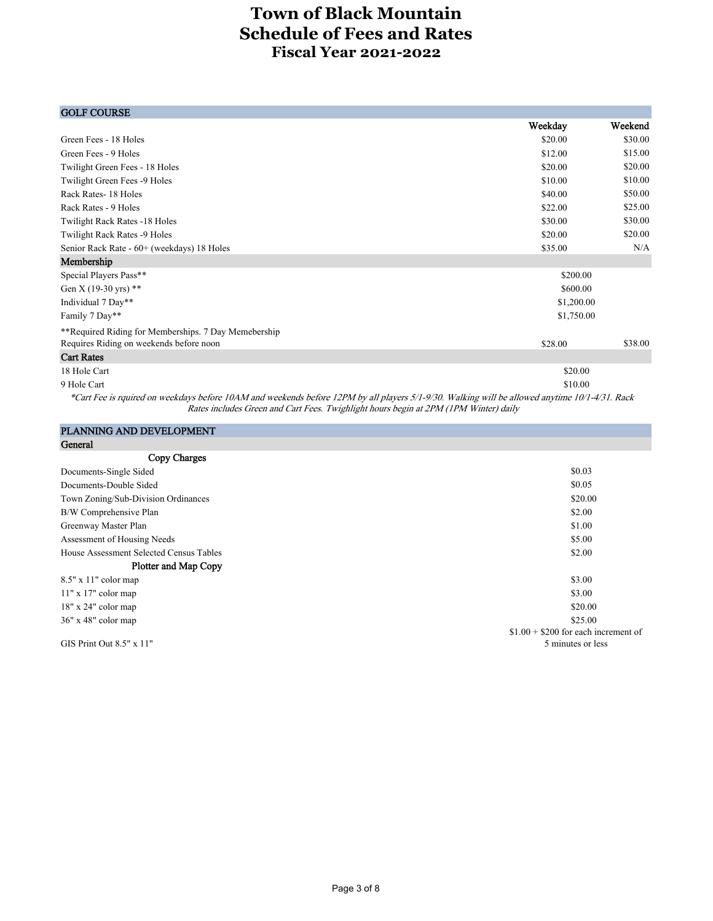| <b>GOLF COURSE</b>                                                                                                                                                                     |            |         |
|----------------------------------------------------------------------------------------------------------------------------------------------------------------------------------------|------------|---------|
|                                                                                                                                                                                        | Weekday    | Weekend |
| Green Fees - 18 Holes                                                                                                                                                                  | \$20.00    | \$30.00 |
| Green Fees - 9 Holes                                                                                                                                                                   | \$12.00    | \$15.00 |
| Twilight Green Fees - 18 Holes                                                                                                                                                         | \$20.00    | \$20.00 |
| Twilight Green Fees -9 Holes                                                                                                                                                           | \$10.00    | \$10.00 |
| Rack Rates-18 Holes                                                                                                                                                                    | \$40.00    | \$50.00 |
| Rack Rates - 9 Holes                                                                                                                                                                   | \$22.00    | \$25.00 |
| Twilight Rack Rates -18 Holes                                                                                                                                                          | \$30.00    | \$30.00 |
| Twilight Rack Rates -9 Holes                                                                                                                                                           | \$20.00    | \$20.00 |
| Senior Rack Rate - 60+ (weekdays) 18 Holes                                                                                                                                             | \$35.00    | N/A     |
| Membership                                                                                                                                                                             |            |         |
| Special Players Pass**                                                                                                                                                                 | \$200.00   |         |
| Gen X (19-30 yrs) **                                                                                                                                                                   | \$600.00   |         |
| Individual 7 Day**                                                                                                                                                                     | \$1,200.00 |         |
| Family 7 Day**                                                                                                                                                                         | \$1,750.00 |         |
| **Required Riding for Memberships. 7 Day Memebership                                                                                                                                   |            |         |
| Requires Riding on weekends before noon                                                                                                                                                | \$28.00    | \$38.00 |
| <b>Cart Rates</b>                                                                                                                                                                      |            |         |
| 18 Hole Cart                                                                                                                                                                           | \$20.00    |         |
| 9 Hole Cart                                                                                                                                                                            | \$10.00    |         |
| *Gast Face is a mained as social data before 10 A M and an described by Lefter a 10 B M aleman C (1,000, Walking and H and H and H and H and H and H and H and H and H and H and H and |            |         |

\*Cart Fee is rquired on weekdays before 10AM and weekends before 12PM by all players 5/1-9/30. Walking will be allowed anytime 10/1-4/31. Rack Rates includes Green and Cart Fees. Twighlight hours begin at 2PM (1PM Winter) daily

### PLANNING AND DEVELOPMENT

| General                                 |                                      |
|-----------------------------------------|--------------------------------------|
| Copy Charges                            |                                      |
| Documents-Single Sided                  | \$0.03                               |
| Documents-Double Sided                  | \$0.05                               |
| Town Zoning/Sub-Division Ordinances     | \$20.00                              |
| B/W Comprehensive Plan                  | \$2.00                               |
| Greenway Master Plan                    | \$1.00                               |
| Assessment of Housing Needs             | \$5.00                               |
| House Assessment Selected Census Tables | \$2.00                               |
| Plotter and Map Copy                    |                                      |
| $8.5"$ x 11" color map                  | \$3.00                               |
| $11"$ x 17" color map                   | \$3.00                               |
| $18"$ x $24"$ color map                 | \$20.00                              |
| $36"$ x 48" color map                   | \$25.00                              |
|                                         | $$1.00 + $200$ for each increment of |
| GIS Print Out $8.5" \times 11"$         | 5 minutes or less                    |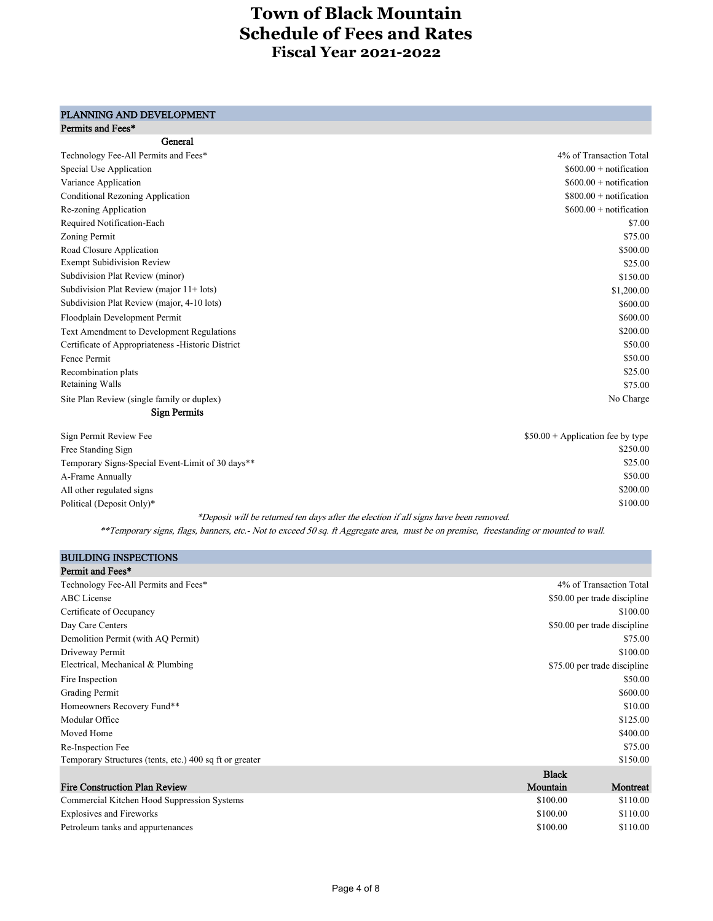#### Permits and Fees\* PLANNING AND DEVELOPMENT

| General                                              |                          |
|------------------------------------------------------|--------------------------|
| Technology Fee-All Permits and Fees*                 | 4% of Transaction Total  |
| Special Use Application                              | $$600.00 + notification$ |
| Variance Application                                 | $$600.00 + notification$ |
| <b>Conditional Rezoning Application</b>              | $$800.00 + notification$ |
| Re-zoning Application                                | $$600.00 + notification$ |
| Required Notification-Each                           | \$7.00                   |
| Zoning Permit                                        | \$75.00                  |
| Road Closure Application                             | \$500.00                 |
| <b>Exempt Subidivision Review</b>                    | \$25.00                  |
| Subdivision Plat Review (minor)                      | \$150.00                 |
| Subdivision Plat Review (major $11 + \text{ lots}$ ) | \$1,200.00               |
| Subdivision Plat Review (major, 4-10 lots)           | \$600.00                 |
| Floodplain Development Permit                        | \$600.00                 |
| Text Amendment to Development Regulations            | \$200.00                 |
| Certificate of Appropriateness - Historic District   | \$50.00                  |
| Fence Permit                                         | \$50.00                  |
| Recombination plats                                  | \$25.00                  |
| Retaining Walls                                      | \$75.00                  |
| Site Plan Review (single family or duplex)           | No Charge                |
| <b>Sign Permits</b>                                  |                          |

| Sign Permit Review Fee                           | $$50.00 + Application$ fee by type |
|--------------------------------------------------|------------------------------------|
|                                                  | \$250.00                           |
| Free Standing Sign                               |                                    |
| Temporary Signs-Special Event-Limit of 30 days** | \$25.00                            |
| A-Frame Annually                                 | \$50.00                            |
| All other regulated signs                        | \$200.00                           |
| Political (Deposit Only)*                        | \$100.00                           |
| $\overline{\phantom{a}}$                         |                                    |

\*Deposit will be returned ten days after the election if all signs have been removed.

\*\*Temporary signs, flags, banners, etc.- Not to exceed 50 sq. ft Aggregate area, must be on premise, freestanding or mounted to wall.

| <b>BUILDING INSPECTIONS</b>                             |                              |
|---------------------------------------------------------|------------------------------|
| Permit and Fees*                                        |                              |
| Technology Fee-All Permits and Fees*                    | 4% of Transaction Total      |
| <b>ABC</b> License                                      | \$50.00 per trade discipline |
| Certificate of Occupancy                                | \$100.00                     |
| Day Care Centers                                        | \$50.00 per trade discipline |
| Demolition Permit (with AQ Permit)                      | \$75.00                      |
| Driveway Permit                                         | \$100.00                     |
| Electrical, Mechanical & Plumbing                       | \$75.00 per trade discipline |
| Fire Inspection                                         | \$50.00                      |
| Grading Permit                                          | \$600.00                     |
| Homeowners Recovery Fund**                              | \$10.00                      |
| Modular Office                                          | \$125.00                     |
| Moved Home                                              | \$400.00                     |
| Re-Inspection Fee                                       | \$75.00                      |
| Temporary Structures (tents, etc.) 400 sq ft or greater | \$150.00                     |
|                                                         | <b>Black</b>                 |
| <b>Fire Construction Plan Review</b>                    | Mountain<br>Montreat         |
| Commercial Kitchen Hood Suppression Systems             | \$110.00<br>\$100.00         |
| <b>Explosives and Fireworks</b>                         | \$100.00<br>\$110.00         |
| Petroleum tanks and appurtenances                       | \$100.00<br>\$110.00         |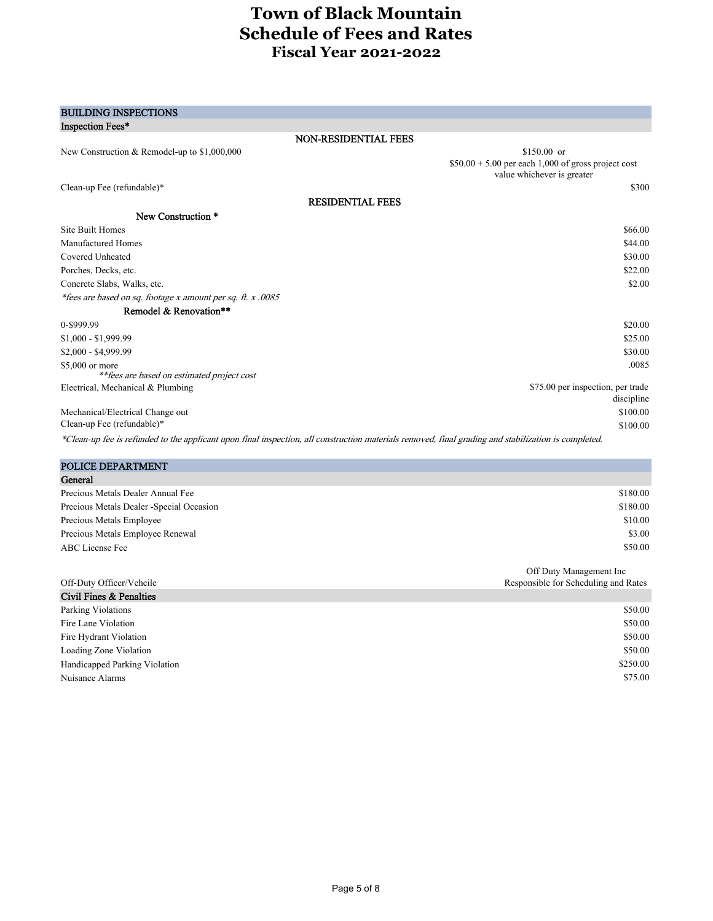| <b>BUILDING INSPECTIONS</b>                                                                                                                         |                                                                                    |
|-----------------------------------------------------------------------------------------------------------------------------------------------------|------------------------------------------------------------------------------------|
| Inspection Fees*                                                                                                                                    |                                                                                    |
| NON-RESIDENTIAL FEES                                                                                                                                |                                                                                    |
| New Construction & Remodel-up to \$1,000,000                                                                                                        | $$150.00$ or                                                                       |
|                                                                                                                                                     | $$50.00 + 5.00$ per each 1,000 of gross project cost<br>value whichever is greater |
| Clean-up Fee (refundable)*                                                                                                                          | \$300                                                                              |
| <b>RESIDENTIAL FEES</b>                                                                                                                             |                                                                                    |
| New Construction *                                                                                                                                  |                                                                                    |
| <b>Site Built Homes</b>                                                                                                                             | \$66.00                                                                            |
| <b>Manufactured Homes</b>                                                                                                                           | \$44.00                                                                            |
| Covered Unheated                                                                                                                                    | \$30.00                                                                            |
| Porches, Decks, etc.                                                                                                                                | \$22.00                                                                            |
| Concrete Slabs, Walks, etc.                                                                                                                         | \$2.00                                                                             |
| *fees are based on sq. footage x amount per sq. ft. x .0085                                                                                         |                                                                                    |
| Remodel & Renovation**                                                                                                                              |                                                                                    |
| 0-\$999.99                                                                                                                                          | \$20.00                                                                            |
| $$1,000 - $1,999.99$                                                                                                                                | \$25.00                                                                            |
| \$2,000 - \$4,999.99                                                                                                                                | \$30.00                                                                            |
| \$5,000 or more                                                                                                                                     | .0085                                                                              |
| ** fees are based on estimated project cost                                                                                                         |                                                                                    |
| Electrical, Mechanical & Plumbing                                                                                                                   | \$75.00 per inspection, per trade<br>discipline                                    |
| Mechanical/Electrical Change out                                                                                                                    | \$100.00                                                                           |
| Clean-up Fee (refundable)*                                                                                                                          | \$100.00                                                                           |
| *Clean-up fee is refunded to the applicant upon final inspection, all construction materials removed, final grading and stabilization is completed. |                                                                                    |
|                                                                                                                                                     |                                                                                    |
| POLICE DEPARTMENT                                                                                                                                   |                                                                                    |
| General                                                                                                                                             |                                                                                    |
| $\mathbf{r}$ . $\mathbf{r}$ , $\mathbf{r}$ , $\mathbf{r}$                                                                                           | 010000                                                                             |

| Precious Metals Dealer Annual Fee         | \$180.00 |
|-------------------------------------------|----------|
| Precious Metals Dealer - Special Occasion | \$180.00 |
| Precious Metals Employee                  | \$10.00  |
| Precious Metals Employee Renewal          | \$3.00   |
| ABC License Fee                           | \$50.00  |
|                                           |          |

|                               | Off Duty Management Inc              |
|-------------------------------|--------------------------------------|
| Off-Duty Officer/Vehcile      | Responsible for Scheduling and Rates |
| Civil Fines & Penalties       |                                      |
| Parking Violations            | \$50.00                              |
| Fire Lane Violation           | \$50.00                              |
| Fire Hydrant Violation        | \$50.00                              |
| Loading Zone Violation        | \$50.00                              |
| Handicapped Parking Violation | \$250.00                             |
| Nuisance Alarms               | \$75.00                              |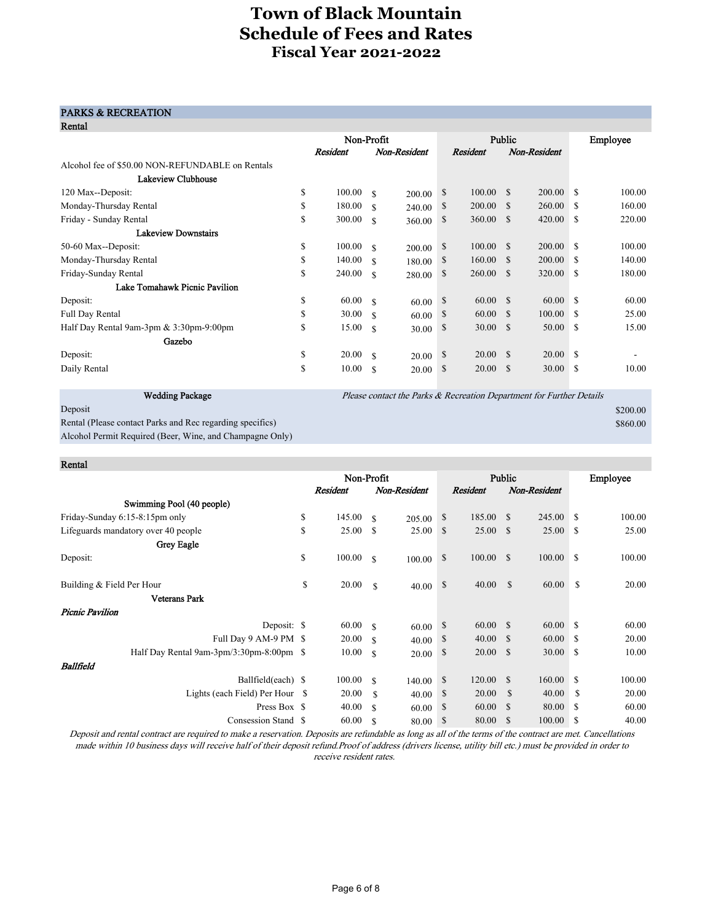### PARKS & RECREATION

| Rental                                           |    |            |               |                                                                      |               |                 |               |              |               |          |
|--------------------------------------------------|----|------------|---------------|----------------------------------------------------------------------|---------------|-----------------|---------------|--------------|---------------|----------|
|                                                  |    | Non-Profit |               |                                                                      | Public        |                 |               |              |               | Employee |
|                                                  |    | Resident   |               | Non-Resident                                                         |               | Resident        |               | Non-Resident |               |          |
| Alcohol fee of \$50.00 NON-REFUNDABLE on Rentals |    |            |               |                                                                      |               |                 |               |              |               |          |
| Lakeview Clubhouse                               |    |            |               |                                                                      |               |                 |               |              |               |          |
| 120 Max--Deposit:                                | \$ | 100.00     | <sup>\$</sup> | 200.00                                                               | <sup>\$</sup> | 100.00          | -S            | 200.00       | <sup>\$</sup> | 100.00   |
| Monday-Thursday Rental                           | \$ | 180.00     | $\mathcal{S}$ | 240.00                                                               | S             | 200.00          | <sup>\$</sup> | 260.00       | -S            | 160.00   |
| Friday - Sunday Rental                           | S  | 300.00     | <sup>\$</sup> | 360.00                                                               | S             | 360.00          | <sup>\$</sup> | 420.00       | <sup>\$</sup> | 220.00   |
| <b>Lakeview Downstairs</b>                       |    |            |               |                                                                      |               |                 |               |              |               |          |
| 50-60 Max--Deposit:                              | \$ | 100.00     | <sup>\$</sup> | 200.00                                                               | <sup>\$</sup> | 100.00          | <sup>S</sup>  | 200.00       | <sup>\$</sup> | 100.00   |
| Monday-Thursday Rental                           | S  | 140.00     | <sup>\$</sup> | 180.00                                                               | <sup>S</sup>  | 160.00          | -S            | 200.00       | <sup>\$</sup> | 140.00   |
| Friday-Sunday Rental                             | S  | 240.00     | \$            | 280.00                                                               | S             | 260.00          | <sup>\$</sup> | 320.00       | <sup>\$</sup> | 180.00   |
| Lake Tomahawk Picnic Pavilion                    |    |            |               |                                                                      |               |                 |               |              |               |          |
| Deposit:                                         | \$ | 60.00      | -S            | 60.00                                                                | <sup>S</sup>  | 60.00           | -S            | 60.00        | \$.           | 60.00    |
| <b>Full Day Rental</b>                           | S  | 30.00      | \$            | 60.00                                                                | <sup>S</sup>  | 60.00           | -\$           | 100.00       | -S            | 25.00    |
| Half Day Rental 9am-3pm $& 3:30$ pm-9:00pm       | \$ | 15.00      | <sup>\$</sup> | 30.00                                                                | \$            | 30.00           | -S            | 50.00        | <sup>\$</sup> | 15.00    |
| Gazebo                                           |    |            |               |                                                                      |               |                 |               |              |               |          |
| Deposit:                                         | \$ | 20.00      | -S            | 20.00                                                                | -S            | $20.00\quad$ \$ |               | 20.00        | -S            |          |
| Daily Rental                                     | \$ | 10.00      | <sup>\$</sup> | 20.00                                                                | S             | 20.00           | <sup>\$</sup> | 30.00        | <sup>\$</sup> | 10.00    |
|                                                  |    |            |               |                                                                      |               |                 |               |              |               |          |
| <b>Wedding Package</b>                           |    |            |               | Please contact the Parks & Recreation Department for Further Details |               |                 |               |              |               |          |

 $\blacksquare$ Deposit  $$200.00$ 

Rental (Please contact Parks and Rec regarding specifics)  $$860.00$ Alcohol Permit Required (Beer, Wine, and Champagne Only)

| Rental                                   |                 |               |              |        |                 |               |              |               |          |
|------------------------------------------|-----------------|---------------|--------------|--------|-----------------|---------------|--------------|---------------|----------|
|                                          | Non-Profit      |               |              | Public |                 |               |              |               | Employee |
|                                          | <b>Resident</b> |               | Non-Resident |        | <b>Resident</b> |               | Non-Resident |               |          |
| Swimming Pool (40 people)                |                 |               |              |        |                 |               |              |               |          |
| Friday-Sunday 6:15-8:15pm only           | \$<br>145.00    | <sup>\$</sup> | 205.00       | \$     | 185.00          | $\mathbf{s}$  | 245.00       | <sup>\$</sup> | 100.00   |
| Lifeguards mandatory over 40 people      | \$<br>25.00     | - S           | 25.00        | \$     | 25.00 S         |               | 25.00        | \$            | 25.00    |
| Grey Eagle                               |                 |               |              |        |                 |               |              |               |          |
| Deposit:                                 | \$<br>100.00    | <sup>\$</sup> | 100.00       | \$     | 100.00          | <sup>\$</sup> | 100.00       | <sup>\$</sup> | 100.00   |
| Building & Field Per Hour                | \$<br>20.00     | \$            | 40.00        | \$     | 40.00           | \$            | 60.00        | <sup>\$</sup> | 20.00    |
| <b>Veterans Park</b>                     |                 |               |              |        |                 |               |              |               |          |
| <b>Picnic Pavilion</b>                   |                 |               |              |        |                 |               |              |               |          |
| Deposit: \$                              | 60.00           | - \$          | 60.00        | \$     | 60.00           | -S            | 60.00        | <sup>\$</sup> | 60.00    |
| Full Day 9 AM-9 PM \$                    | 20.00           | -S            | 40.00        | \$     | 40.00           | <sup>\$</sup> | 60.00        | S             | 20.00    |
| Half Day Rental 9am-3pm/3:30pm-8:00pm \$ | 10.00           | $\mathcal{S}$ | 20.00        | \$     | 20.00           | <sup>\$</sup> | 30.00        | \$            | 10.00    |
| Ballfield                                |                 |               |              |        |                 |               |              |               |          |
| Ballfield(each) \$                       | 100.00          | $\mathcal{S}$ | 140.00       | \$     | 120.00          | <sup>\$</sup> | 160.00       | S             | 100.00   |
| Lights (each Field) Per Hour \$          | 20.00           | \$            | 40.00        | \$     | 20.00           | \$            | 40.00        | <sup>\$</sup> | 20.00    |
| Press Box \$                             | 40.00           | \$            | 60.00        | \$     | 60.00           | \$            | 80.00        | S             | 60.00    |
| Consession Stand \$                      | 60.00           | \$            | 80.00        | \$     | 80.00           | \$            | 100.00       | \$            | 40.00    |

Deposit and rental contract are required to make a reservation. Deposits are refundable as long as all of the terms of the contract are met. Cancellations made within 10 business days will receive half of their deposit refund.Proof of address (drivers license, utility bill etc.) must be provided in order to receive resident rates.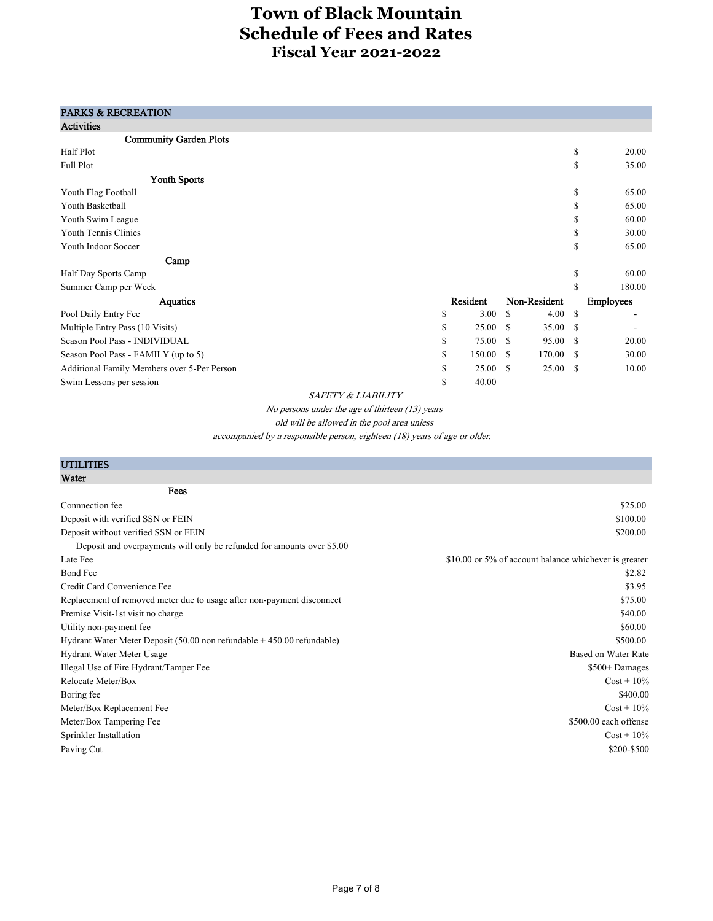### PARKS & RECREATION

| <b>Activities</b>                           |               |               |              |               |                  |
|---------------------------------------------|---------------|---------------|--------------|---------------|------------------|
| <b>Community Garden Plots</b>               |               |               |              |               |                  |
| Half Plot                                   |               |               |              | <sup>\$</sup> | 20.00            |
| Full Plot                                   |               |               |              | \$            | 35.00            |
| <b>Youth Sports</b>                         |               |               |              |               |                  |
| Youth Flag Football                         |               |               |              | \$            | 65.00            |
| Youth Basketball                            |               |               |              | \$            | 65.00            |
| Youth Swim League                           |               |               |              | \$            | 60.00            |
| Youth Tennis Clinics                        |               |               |              | \$            | 30.00            |
| Youth Indoor Soccer                         |               |               |              | \$            | 65.00            |
| Camp                                        |               |               |              |               |                  |
| Half Day Sports Camp                        |               |               |              | \$            | 60.00            |
| Summer Camp per Week                        |               |               |              | \$            | 180.00           |
| Aquatics                                    | Resident      |               | Non-Resident |               | <b>Employees</b> |
| Pool Daily Entry Fee                        | \$<br>3.00    | <sup>\$</sup> | 4.00         | <sup>\$</sup> |                  |
| Multiple Entry Pass (10 Visits)             | \$<br>25.00   | <sup>\$</sup> | 35.00        | <sup>\$</sup> |                  |
| Season Pool Pass - INDIVIDUAL               | \$<br>75.00   | - \$          | 95.00        | <sup>\$</sup> | 20.00            |
| Season Pool Pass - FAMILY (up to 5)         | \$<br>150.00  | - \$          | 170.00       | <sup>\$</sup> | 30.00            |
| Additional Family Members over 5-Per Person | \$<br>25.00 S |               | 25.00        | -S            | 10.00            |
| Swim Lessons per session                    | \$<br>40.00   |               |              |               |                  |

SAFETY & LIABILITY

No persons under the age of thirteen (13) years

old will be allowed in the pool area unless

accompanied by a responsible person, eighteen (18) years of age or older.

| <b>UTILITIES</b>                                                                         |                                                       |
|------------------------------------------------------------------------------------------|-------------------------------------------------------|
| Water                                                                                    |                                                       |
| Fees                                                                                     |                                                       |
| Connnection fee                                                                          | \$25.00                                               |
| Deposit with verified SSN or FEIN                                                        | \$100.00                                              |
| Deposit without verified SSN or FEIN                                                     | \$200.00                                              |
| Deposit and overpayments will only be refunded for amounts over \$5.00                   |                                                       |
| Late Fee                                                                                 | \$10.00 or 5% of account balance whichever is greater |
| <b>Bond Fee</b>                                                                          | \$2.82                                                |
| Credit Card Convenience Fee                                                              | \$3.95                                                |
| Replacement of removed meter due to usage after non-payment disconnect                   | \$75.00                                               |
| Premise Visit-1st visit no charge                                                        | \$40.00                                               |
| Utility non-payment fee                                                                  | \$60.00                                               |
| Hydrant Water Meter Deposit $(50.00 \text{ non refundable} + 450.00 \text{ refundable})$ | \$500.00                                              |
| Hydrant Water Meter Usage                                                                | Based on Water Rate                                   |
| Illegal Use of Fire Hydrant/Tamper Fee                                                   | \$500+ Damages                                        |
| Relocate Meter/Box                                                                       | $Cost + 10\%$                                         |
| Boring fee                                                                               | \$400.00                                              |
| Meter/Box Replacement Fee                                                                | $Cost + 10\%$                                         |
| Meter/Box Tampering Fee                                                                  | \$500.00 each offense                                 |
| Sprinkler Installation                                                                   | $Cost + 10\%$                                         |
| Paving Cut                                                                               | \$200-\$500                                           |